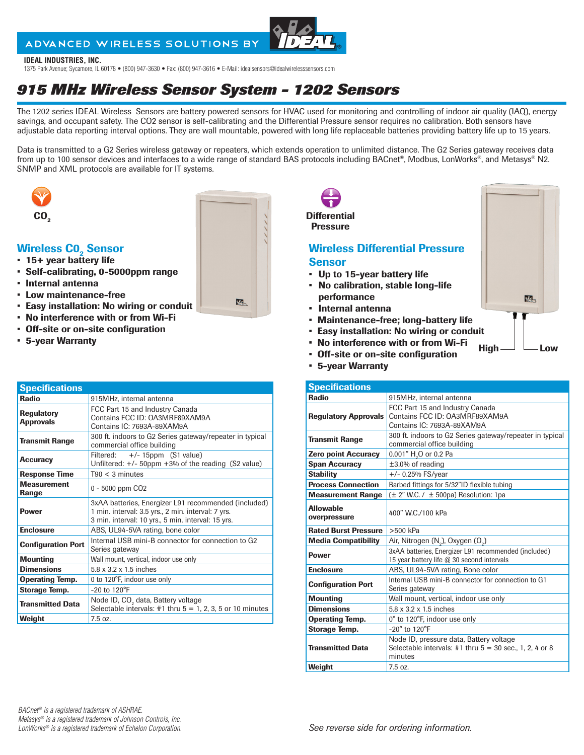### ADVANCED WIRELESS SOLUTIONS BY

#### **IDEAL INDUSTRIES, INC.**

1375 Park Avenue; Sycamore, IL 60178 • (800) 947-3630 • Fax: (800) 947-3616 • E-Mail: idealsensors@idealwirelesssensors.com

# *915 MHz Wireless Sensor System - 1202 Sensors*

The 1202 series IDEAL Wireless Sensors are battery powered sensors for HVAC used for monitoring and controlling of indoor air quality (IAQ), energy savings, and occupant safety. The CO2 sensor is self-calibrating and the Differential Pressure sensor requires no calibration. Both sensors have adjustable data reporting interval options. They are wall mountable, powered with long life replaceable batteries providing battery life up to 15 years.

Data is transmitted to a G2 Series wireless gateway or repeaters, which extends operation to unlimited distance. The G2 Series gateway receives data from up to 100 sensor devices and interfaces to a wide range of standard BAS protocols including BACnet®, Modbus, LonWorks®, and Metasys® N2. SNMP and XML protocols are available for IT systems.



#### **Wireless CO<sub>2</sub> Sensor**

- 15+ year battery life
- Self-calibrating, 0-5000ppm range
- Internal antenna
- Low maintenance-free
- Easy installation: No wiring or conduit
- No interference with or from Wi-Fi
- Off-site or on-site configuration
- 5-year Warranty

| <b>Specifications</b>                 |                                                                                                                                                                  |
|---------------------------------------|------------------------------------------------------------------------------------------------------------------------------------------------------------------|
| <b>Radio</b>                          | 915MHz, internal antenna                                                                                                                                         |
| <b>Regulatory</b><br><b>Approvals</b> | FCC Part 15 and Industry Canada<br>Contains FCC ID: OA3MRF89XAM9A<br>Contains IC: 7693A-89XAM9A                                                                  |
| <b>Transmit Range</b>                 | 300 ft. indoors to G2 Series gateway/repeater in typical<br>commercial office building                                                                           |
| Accuracy                              | Filtered: $+/- 15$ ppm (S1 value)<br>Unfiltered: +/- 50ppm +3% of the reading (S2 value)                                                                         |
| <b>Response Time</b>                  | $T90 < 3$ minutes                                                                                                                                                |
| <b>Measurement</b><br>Range           | 0 - 5000 ppm CO <sub>2</sub>                                                                                                                                     |
| <b>Power</b>                          | 3xAA batteries, Energizer L91 recommended (included)<br>1 min. interval: 3.5 yrs., 2 min. interval: 7 yrs.<br>3 min. interval: 10 yrs., 5 min. interval: 15 yrs. |
| <b>Enclosure</b>                      | ABS, UL94-5VA rating, bone color                                                                                                                                 |
| <b>Configuration Port</b>             | Internal USB mini-B connector for connection to G2<br>Series gateway                                                                                             |
| <b>Mounting</b>                       | Wall mount, vertical, indoor use only                                                                                                                            |
| <b>Dimensions</b>                     | 5.8 x 3.2 x 1.5 inches                                                                                                                                           |
| <b>Operating Temp.</b>                | 0 to 120°F, indoor use only                                                                                                                                      |
| Storage Temp.                         | $-20$ to $120^{\circ}F$                                                                                                                                          |
| <b>Transmitted Data</b>               | Node ID, CO <sub>2</sub> data, Battery voltage<br>Selectable intervals: $#1$ thru $5 = 1, 2, 3, 5$ or 10 minutes                                                 |
| Weight                                | 7.5 oz.                                                                                                                                                          |



| 5-year warranty |
|-----------------|
|                 |

|                                  | <b>Specifications</b>                                                                                             |  |  |
|----------------------------------|-------------------------------------------------------------------------------------------------------------------|--|--|
| <b>Radio</b>                     | 915MHz, internal antenna                                                                                          |  |  |
| <b>Regulatory Approvals</b>      | FCC Part 15 and Industry Canada<br>Contains FCC ID: OA3MRF89XAM9A<br>Contains IC: 7693A-89XAM9A                   |  |  |
| <b>Transmit Range</b>            | 300 ft. indoors to G2 Series gateway/repeater in typical<br>commercial office building                            |  |  |
| <b>Zero point Accuracy</b>       | 0.001" H <sub>2</sub> O or 0.2 Pa                                                                                 |  |  |
| <b>Span Accuracy</b>             | $±3.0\%$ of reading                                                                                               |  |  |
| <b>Stability</b>                 | $+/- 0.25%$ FS/year                                                                                               |  |  |
| <b>Process Connection</b>        | Barbed fittings for 5/32"ID flexible tubing                                                                       |  |  |
| <b>Measurement Range</b>         | $(\pm 2"$ W.C. / $\pm 500$ pa) Resolution: 1pa                                                                    |  |  |
| <b>Allowable</b><br>overpressure | 400" W.C. / 100 kPa                                                                                               |  |  |
| <b>Rated Burst Pressure</b>      | $>500$ kPa                                                                                                        |  |  |
| <b>Media Compatibility</b>       | Air, Nitrogen (N <sub>2</sub> ), Oxygen (O <sub>2</sub> )                                                         |  |  |
| <b>Power</b>                     | 3xAA batteries, Energizer L91 recommended (included)<br>15 year battery life @ 30 second intervals                |  |  |
| <b>Enclosure</b>                 | ABS, UL94-5VA rating, Bone color                                                                                  |  |  |
| <b>Configuration Port</b>        | Internal USB mini-B connector for connection to G1<br>Series gateway                                              |  |  |
| <b>Mounting</b>                  | Wall mount, vertical, indoor use only                                                                             |  |  |
| <b>Dimensions</b>                | 5.8 x 3.2 x 1.5 inches                                                                                            |  |  |
| <b>Operating Temp.</b>           | 0° to 120°F, indoor use only                                                                                      |  |  |
| <b>Storage Temp.</b>             | $-20^\circ$ to $120^\circ$ F                                                                                      |  |  |
| <b>Transmitted Data</b>          | Node ID, pressure data, Battery voltage<br>Selectable intervals: $#1$ thru $5 = 30$ sec., 1, 2, 4 or 8<br>minutes |  |  |
| Weight                           | 7.5 oz.                                                                                                           |  |  |